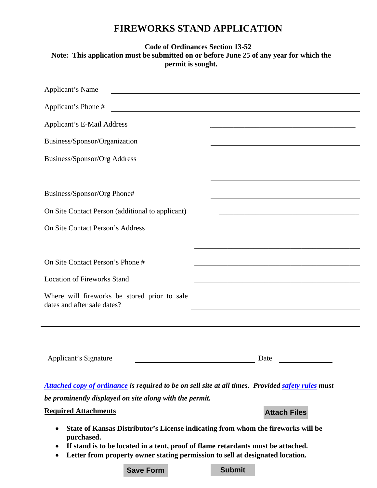## **FIREWORKS STAND APPLICATION**

## **Code of Ordinances Section 13-52 Note: This application must be submitted on or before June 25 of any year for which the permit is sought.**

| Applicant's Name                                                            |                                                                                                                      |
|-----------------------------------------------------------------------------|----------------------------------------------------------------------------------------------------------------------|
| Applicant's Phone #                                                         | <u> 1989 - Johann Barn, amerikansk politiker (</u>                                                                   |
| <b>Applicant's E-Mail Address</b>                                           |                                                                                                                      |
| Business/Sponsor/Organization                                               |                                                                                                                      |
| Business/Sponsor/Org Address                                                |                                                                                                                      |
|                                                                             |                                                                                                                      |
| Business/Sponsor/Org Phone#                                                 |                                                                                                                      |
| On Site Contact Person (additional to applicant)                            | <u> 1989 - Johann Stein, marwolaethau a bhann an t-Amhair ann an t-Amhair an t-Amhair an t-Amhair an t-Amhair an</u> |
| On Site Contact Person's Address                                            |                                                                                                                      |
|                                                                             |                                                                                                                      |
| On Site Contact Person's Phone #                                            |                                                                                                                      |
| <b>Location of Fireworks Stand</b>                                          |                                                                                                                      |
| Where will fireworks be stored prior to sale<br>dates and after sale dates? |                                                                                                                      |
|                                                                             |                                                                                                                      |
|                                                                             |                                                                                                                      |
|                                                                             |                                                                                                                      |

| Jate<br>. |
|-----------|
|           |

*Attached copy of ordinance is required to be on sell site at all times*. *Provided [safety rules](http://www.cityofmhk.com/DocumentCenter/Home/View/11662) must* 

*be prominently displayed on site along with the permit.* 

## **Required Attachments**

- **Attach Files**
- **State of Kansas Distributor's License indicating from whom the fireworks will be purchased.**
- **If stand is to be located in a tent, proof of flame retardants must be attached.**
- **Letter from property owner stating permission to sell at designated location.**

**Save Form Submit**